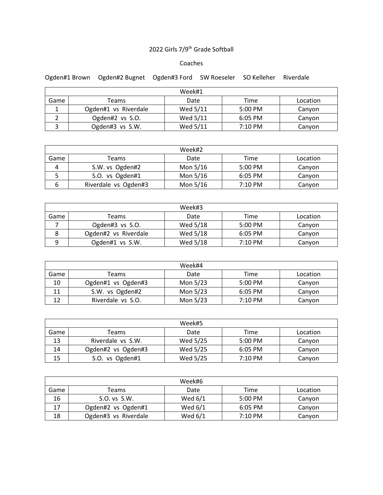## 2022 Girls 7/9th Grade Softball

## Coaches

Ogden#1 Brown Ogden#2 Bugnet Ogden#3 Ford SW Roeseler SO Kelleher Riverdale

| Week#1 |                      |          |                   |          |  |
|--------|----------------------|----------|-------------------|----------|--|
| Game   | Teams                | Date     | Time              | Location |  |
|        | Ogden#1 vs Riverdale | Wed 5/11 | 5:00 PM           | Canyon   |  |
|        | Ogden#2 vs S.O.      | Wed 5/11 | 6:05 PM           | Canyon   |  |
|        | Ogden#3 vs S.W.      | Wed 5/11 | $7:10 \text{ PM}$ | Canyon   |  |

| Week#2 |                      |          |                   |          |  |
|--------|----------------------|----------|-------------------|----------|--|
| Game   | Teams                | Date     | Time              | Location |  |
| 4      | S.W. vs Ogden#2      | Mon 5/16 | 5:00 PM           | Canyon   |  |
|        | S.O. vs Ogden#1      | Mon 5/16 | 6:05 PM           | Canvon   |  |
| ь      | Riverdale vs Ogden#3 | Mon 5/16 | $7:10 \text{ PM}$ | Canyon   |  |

| Week#3 |                      |          |                   |          |  |
|--------|----------------------|----------|-------------------|----------|--|
| Game   | Teams                | Date     | Time              | Location |  |
|        | Ogden#3 vs S.O.      | Wed 5/18 | $5:00 \text{ PM}$ | Canyon   |  |
|        | Ogden#2 vs Riverdale | Wed 5/18 | $6:05$ PM         | Canyon   |  |
| q      | Ogden#1 vs S.W.      | Wed 5/18 | $7:10 \text{ PM}$ | Canyon   |  |

| Week#4 |                    |          |                   |          |  |
|--------|--------------------|----------|-------------------|----------|--|
| Game   | Teams              | Date     | Time              | Location |  |
| 10     | Ogden#1 vs Ogden#3 | Mon 5/23 | 5:00 PM           | Canyon   |  |
| 11     | S.W. vs Ogden#2    | Mon 5/23 | $6:05$ PM         | Canyon   |  |
| 12     | Riverdale vs S.O.  | Mon 5/23 | $7:10 \text{ PM}$ | Canyon   |  |

| Week#5 |                    |          |                   |          |  |
|--------|--------------------|----------|-------------------|----------|--|
| Game   | Teams              | Date     | Time              | Location |  |
| 13     | Riverdale vs S.W.  | Wed 5/25 | 5:00 PM           | Canyon   |  |
| 14     | Ogden#2 vs Ogden#3 | Wed 5/25 | $6:05$ PM         | Canyon   |  |
| 15     | S.O. vs Ogden#1    | Wed 5/25 | $7:10 \text{ PM}$ | Canyon   |  |

| Week#6 |                      |           |                   |          |  |
|--------|----------------------|-----------|-------------------|----------|--|
| Game   | Teams                | Date      | Time              | Location |  |
| 16     | S.O. vs S.W.         | Wed $6/1$ | 5:00 PM           | Canyon   |  |
| 17     | Ogden#2 vs Ogden#1   | Wed $6/1$ | $6:05$ PM         | Canyon   |  |
| 18     | Ogden#3 vs Riverdale | Wed 6/1   | $7:10 \text{ PM}$ | Canyon   |  |